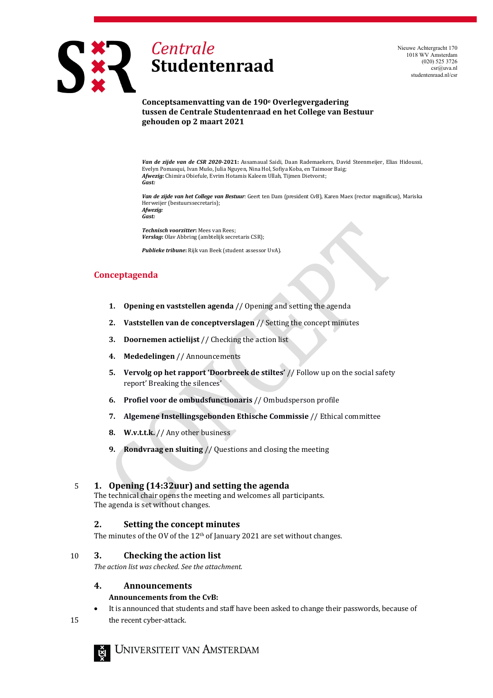

Nieuwe Achtergracht 170 1018 WV Amsterdam (020) 525 3726 csr@uva.nl studentenraad.nl/csr

## **Conceptsamenvatting van de 190e Overlegvergadering tussen de Centrale Studentenraad en het College van Bestuur gehouden op 2 maart 2021**

*Van de zijde van de CSR 2020-***2021:** Assamaual Saidi, Daan Rademaekers, David Steenmeijer, Elias Hidoussi, Evelyn Pomasqui, Ivan Mušo, Julia Nguyen, Nina Hol, Sofiya Koba, en Taimoor Baig; *Afwezig:* Chimira Obiefule, Evrim Hotamis Kaleem Ullah, Tijmen Dietvorst; *Gast:*

*Van de zijde van het College van Bestuur:* Geert ten Dam (president CvB), Karen Maex (rector magnificus), Mariska Herweijer (bestuurssecretaris); *Afwezig:*

*Gast:*

*Technisch voorzitter***:** Mees van Rees; *Verslag***:** Olav Abbring (ambtelijk secretaris CSR);

*Publieke tribune***:** Rijk van Beek (student assessor UvA).

# **Conceptagenda**

- **1. Opening en vaststellen agenda** // Opening and setting the agenda
- **2. Vaststellen van de conceptverslagen** // Setting the concept minutes
- **3. Doornemen actielijst** // Checking the action list
- **4. Mededelingen** // Announcements
- **5. Vervolg op het rapport 'Doorbreek de stiltes'** // Follow up on the social safety report' Breaking the silences'
- **6. Profiel voor de ombudsfunctionaris** // Ombudsperson profile
- **7. Algemene Instellingsgebonden Ethische Commissie** // Ethical committee
- **8. W.v.t.t.k.** // Any other business
- **9. Rondvraag en sluiting** // Questions and closing the meeting

# 5 **1. Opening (14:32uur) and setting the agenda**

The technical chair opens the meeting and welcomes all participants. The agenda is set without changes.

# **2. Setting the concept minutes**

The minutes of the OV of the 12<sup>th</sup> of January 2021 are set without changes.

# 10 **3. Checking the action list**

*The action list was checked. See the attachment.*

## **4. Announcements**

## **Announcements from the CvB:**

• It is announced that students and staff have been asked to change their passwords, because of

15 the recent cyber-attack.



JNIVERSITEIT VAN AMSTERDAM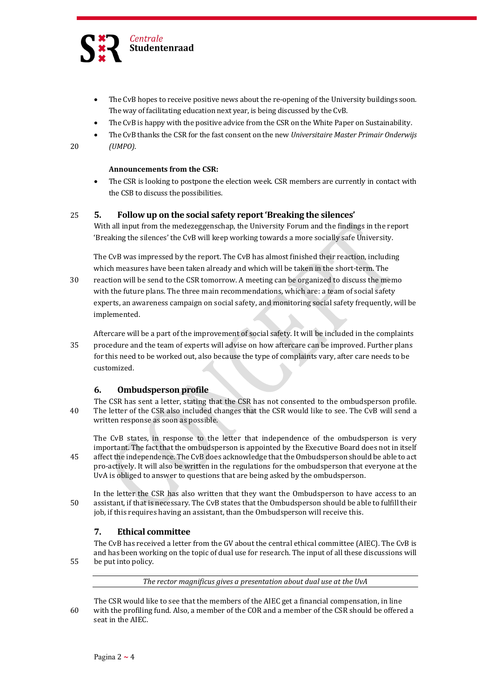

- The CvB hopes to receive positive news about the re-opening of the University buildings soon. The way of facilitating education next year, is being discussed by the CvB.
- The CvB is happy with the positive advice from the CSR on the White Paper on Sustainability.
- The CvB thanks the CSR for the fast consent on the new *Universitaire Master Primair Onderwijs*  20 *(UMPO)*.

## **Announcements from the CSR:**

The CSR is looking to postpone the election week. CSR members are currently in contact with the CSB to discuss the possibilities.

## 25 **5. Follow up on the social safety report'Breaking the silences'**

With all input from the medezeggenschap, the University Forum and the findings in the report 'Breaking the silences' the CvB will keep working towards a more socially safe University.

The CvB was impressed by the report. The CvB has almost finished their reaction, including which measures have been taken already and which will be taken in the short-term. The

- 30 reaction will be send to the CSR tomorrow. A meeting can be organized to discuss the memo with the future plans. The three main recommendations, which are: a team of social safety experts, an awareness campaign on social safety, and monitoring social safety frequently, will be implemented.
- Aftercare will be a part of the improvement of social safety. It will be included in the complaints 35 procedure and the team of experts will advise on how aftercare can be improved. Further plans for this need to be worked out, also because the type of complaints vary, after care needs to be customized.

# **6. Ombudsperson profile**

- The CSR has sent a letter, stating that the CSR has not consented to the ombudsperson profile. 40 The letter of the CSR also included changes that the CSR would like to see. The CvB will send a written response as soon as possible.
- The CvB states, in response to the letter that independence of the ombudsperson is very important. The fact that the ombudsperson is appointed by the Executive Board does not in itself 45 affect the independence. The CvB does acknowledge that the Ombudsperson should be able to act pro-actively. It will also be written in the regulations for the ombudsperson that everyone at the UvA is obliged to answer to questions that are being asked by the ombudsperson.
- In the letter the CSR has also written that they want the Ombudsperson to have access to an 50 assistant, if that is necessary. The CvB states that the Ombudsperson should be able to fulfill their job, if this requires having an assistant, than the Ombudsperson will receive this.

# **7. Ethical committee**

The CvB has received a letter from the GV about the central ethical committee (AIEC). The CvB is and has been working on the topic of dual use for research. The input of all these discussions will 55 be put into policy.

*The rector magnificus gives a presentation about dual use at the UvA*

The CSR would like to see that the members of the AIEC get a financial compensation, in line 60 with the profiling fund. Also, a member of the COR and a member of the CSR should be offered a seat in the AIEC.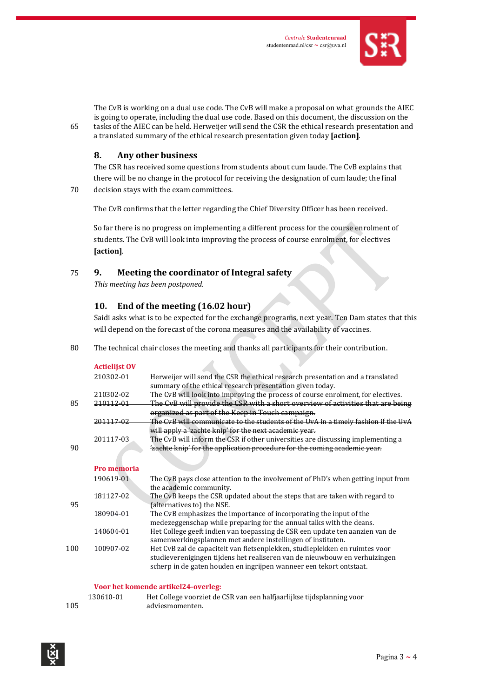

The CvB is working on a dual use code. The CvB will make a proposal on what grounds the AIEC is going to operate, including the dual use code. Based on this document, the discussion on the 65 tasks of the AIEC can be held. Herweijer will send the CSR the ethical research presentation and a translated summary of the ethical research presentation given today **[action]**.

# **8. Any other business**

The CSR has received some questions from students about cum laude. The CvB explains that there will be no change in the protocol for receiving the designation of cum laude; the final

70 decision stays with the exam committees.

The CvB confirms that the letter regarding the Chief Diversity Officer has been received.

So far there is no progress on implementing a different process for the course enrolment of students. The CvB will look into improving the process of course enrolment, for electives **[action]**.

# 75 **9. Meeting the coordinator of Integral safety**

*This meeting has been postponed.*

## **10. End of the meeting (16.02 hour)**

Saidi asks what is to be expected for the exchange programs, next year. Ten Dam states that this will depend on the forecast of the corona measures and the availability of vaccines.

 $\bullet$  .

80 The technical chair closes the meeting and thanks all participants for their contribution.

#### **Actielijst OV**

|     | 210302-01   | Herweijer will send the CSR the ethical research presentation and a translated<br>summary of the ethical research presentation given today. |
|-----|-------------|---------------------------------------------------------------------------------------------------------------------------------------------|
|     | 210302-02   | The CvB will look into improving the process of course enrolment, for electives.                                                            |
| 85  | 210112-01   | The CyB will provide the CSR with a short overview of activities that are being                                                             |
|     |             | organized as part of the Keep in Touch campaign.                                                                                            |
|     | 201117-02   | The GvB will communicate to the students of the UvA in a timely fashion if the UvA                                                          |
|     |             | will apply a 'zachte knip' for the next academic year.                                                                                      |
|     | 201117-03   | <u>The GvB will inform the GSR if other universities are discussing implementing a</u>                                                      |
| 90  |             | 'zachte knip' for the application procedure for the coming academic year.                                                                   |
|     |             |                                                                                                                                             |
|     | Pro memoria |                                                                                                                                             |
|     | 190619-01   | The CvB pays close attention to the involvement of PhD's when getting input from<br>the academic community.                                 |
| 95  | 181127-02   | The CvB keeps the CSR updated about the steps that are taken with regard to<br>(alternatives to) the NSE.                                   |
|     | 180904-01   | The CvB emphasizes the importance of incorporating the input of the                                                                         |
|     |             | medezeggenschap while preparing for the annual talks with the deans.                                                                        |
|     | 140604-01   | Het College geeft indien van toepassing de CSR een update ten aanzien van de                                                                |
|     |             | samenwerkingsplannen met andere instellingen of instituten.                                                                                 |
| 100 | 100907-02   | Het CvB zal de capaciteit van fietsenplekken, studieplekken en ruimtes voor                                                                 |
|     |             | studieverenigingen tijdens het realiseren van de nieuwbouw en verhuizingen                                                                  |
|     |             | scherp in de gaten houden en ingrijpen wanneer een tekort ontstaat.                                                                         |
|     |             |                                                                                                                                             |

#### **Voor het komende artikel24-overleg:**

|     | 130610-01 | Het College voorziet de CSR van een halfjaarlijkse tijdsplanning voor |
|-----|-----------|-----------------------------------------------------------------------|
| 105 |           | adviesmomenten.                                                       |